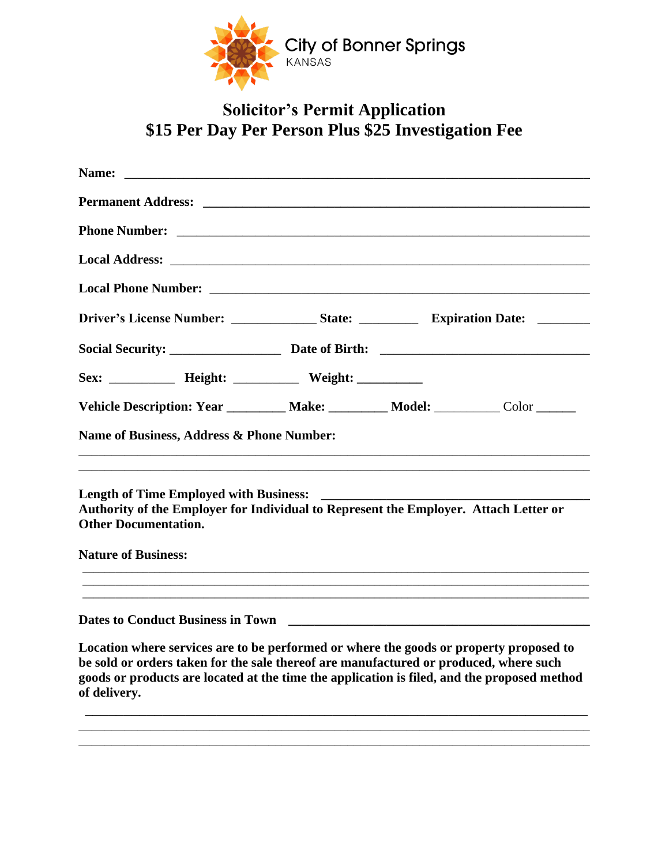

## **Solicitor's Permit Application \$15 Per Day Per Person Plus \$25 Investigation Fee**

| <b>Permanent Address:</b> <u>Community Community Community Community Community Community Community Community Community Community Community Community Community Community Community Community Community Community Community Community </u> |                                                                                                                                                                                                                                                                                |
|-------------------------------------------------------------------------------------------------------------------------------------------------------------------------------------------------------------------------------------------|--------------------------------------------------------------------------------------------------------------------------------------------------------------------------------------------------------------------------------------------------------------------------------|
|                                                                                                                                                                                                                                           |                                                                                                                                                                                                                                                                                |
|                                                                                                                                                                                                                                           |                                                                                                                                                                                                                                                                                |
|                                                                                                                                                                                                                                           |                                                                                                                                                                                                                                                                                |
|                                                                                                                                                                                                                                           |                                                                                                                                                                                                                                                                                |
|                                                                                                                                                                                                                                           |                                                                                                                                                                                                                                                                                |
| Sex: _____________ Height: _____________ Weight: ____________                                                                                                                                                                             |                                                                                                                                                                                                                                                                                |
|                                                                                                                                                                                                                                           | Vehicle Description: Year _________ Make: ________ Model: _________ Color ______                                                                                                                                                                                               |
| Name of Business, Address & Phone Number:                                                                                                                                                                                                 |                                                                                                                                                                                                                                                                                |
| <b>Length of Time Employed with Business:</b><br><b>Other Documentation.</b><br><b>Nature of Business:</b>                                                                                                                                | Authority of the Employer for Individual to Represent the Employer. Attach Letter or                                                                                                                                                                                           |
|                                                                                                                                                                                                                                           |                                                                                                                                                                                                                                                                                |
| <b>Dates to Conduct Business in Town</b>                                                                                                                                                                                                  |                                                                                                                                                                                                                                                                                |
| of delivery.                                                                                                                                                                                                                              | Location where services are to be performed or where the goods or property proposed to<br>be sold or orders taken for the sale thereof are manufactured or produced, where such<br>goods or products are located at the time the application is filed, and the proposed method |

\_\_\_\_\_\_\_\_\_\_\_\_\_\_\_\_\_\_\_\_\_\_\_\_\_\_\_\_\_\_\_\_\_\_\_\_\_\_\_\_\_\_\_\_\_\_\_\_\_\_\_\_\_\_\_\_\_\_\_\_\_\_\_\_\_\_\_\_\_\_\_\_\_\_\_\_\_\_ \_\_\_\_\_\_\_\_\_\_\_\_\_\_\_\_\_\_\_\_\_\_\_\_\_\_\_\_\_\_\_\_\_\_\_\_\_\_\_\_\_\_\_\_\_\_\_\_\_\_\_\_\_\_\_\_\_\_\_\_\_\_\_\_\_\_\_\_\_\_\_\_\_\_\_\_\_\_